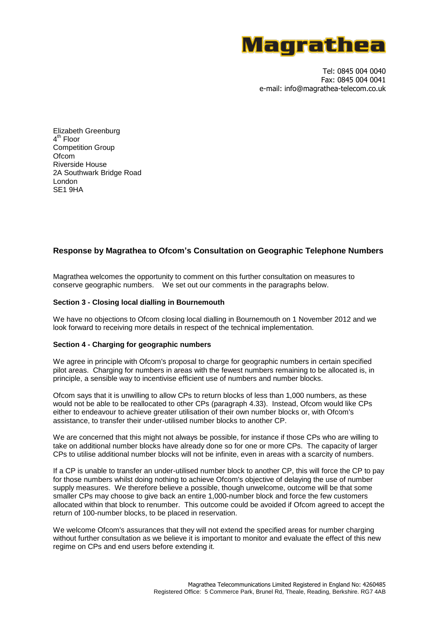

Tel: 0845 004 0040 Fax: 0845 004 0041 e-mail: info@magrathea-telecom.co.uk

Elizabeth Greenburg 4<sup>th</sup> Floor Competition Group Ofcom Riverside House 2A Southwark Bridge Road London SE1 9HA

# **Response by Magrathea to Ofcom's Consultation on Geographic Telephone Numbers**

Magrathea welcomes the opportunity to comment on this further consultation on measures to conserve geographic numbers. We set out our comments in the paragraphs below.

## **Section 3 - Closing local dialling in Bournemouth**

We have no objections to Ofcom closing local dialling in Bournemouth on 1 November 2012 and we look forward to receiving more details in respect of the technical implementation.

### **Section 4 - Charging for geographic numbers**

We agree in principle with Ofcom's proposal to charge for geographic numbers in certain specified pilot areas. Charging for numbers in areas with the fewest numbers remaining to be allocated is, in principle, a sensible way to incentivise efficient use of numbers and number blocks.

Ofcom says that it is unwilling to allow CPs to return blocks of less than 1,000 numbers, as these would not be able to be reallocated to other CPs (paragraph 4.33). Instead, Ofcom would like CPs either to endeavour to achieve greater utilisation of their own number blocks or, with Ofcom's assistance, to transfer their under-utilised number blocks to another CP.

We are concerned that this might not always be possible, for instance if those CPs who are willing to take on additional number blocks have already done so for one or more CPs. The capacity of larger CPs to utilise additional number blocks will not be infinite, even in areas with a scarcity of numbers.

If a CP is unable to transfer an under-utilised number block to another CP, this will force the CP to pay for those numbers whilst doing nothing to achieve Ofcom's objective of delaying the use of number supply measures. We therefore believe a possible, though unwelcome, outcome will be that some smaller CPs may choose to give back an entire 1,000-number block and force the few customers allocated within that block to renumber. This outcome could be avoided if Ofcom agreed to accept the return of 100-number blocks, to be placed in reservation.

We welcome Ofcom's assurances that they will not extend the specified areas for number charging without further consultation as we believe it is important to monitor and evaluate the effect of this new regime on CPs and end users before extending it.